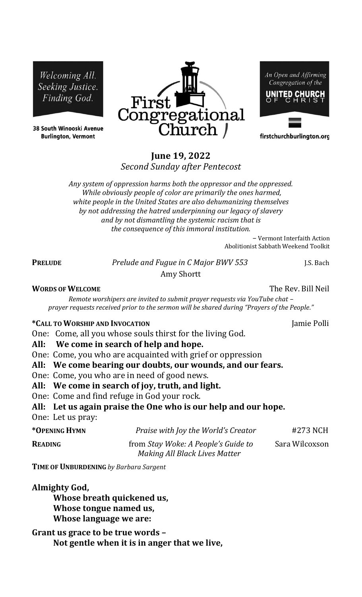Welcoming All. Seeking Justice. Finding God.

38 South Winooski Avenue **Burlington, Vermont** 



An Open and Affirming Congregation of the UNITED CHURCH

firstchurchburlington.org

# **June 19, 2022**

*Second Sunday after Pentecost* 

*Any system of oppression harms both the oppressor and the oppressed. While obviously people of color are primarily the ones harmed, white people in the United States are also dehumanizing themselves by not addressing the hatred underpinning our legacy of slavery and by not dismantling the systemic racism that is the consequence of this immoral institution.*

> *–* Vermont Interfaith Action Abolitionist Sabbath Weekend Toolkit

**PRELUDE** *Prelude and Fugue in C Major BWV 553* J.S. Bach Amy Shortt

**WORDS OF WELCOME** The Rev. Bill Neil

*Remote worshipers are invited to submit prayer requests via YouTube chat – prayer requests received prior to the sermon will be shared during "Prayers of the People."*

## **\*CALL TO WORSHIP AND INVOCATION** Jamie Polli

One: Come, all you whose souls thirst for the living God.

**All: We come in search of help and hope.**

One: Come, you who are acquainted with grief or oppression

- **All: We come bearing our doubts, our wounds, and our fears.**
- One: Come, you who are in need of good news.
- **All: We come in search of joy, truth, and light.**
- One: Come and find refuge in God your rock.

**All: Let us again praise the One who is our help and our hope.**

One: Let us pray:

| *OPENING HYMN  | Praise with Joy the World's Creator                                  | #273 NCH       |
|----------------|----------------------------------------------------------------------|----------------|
| <b>READING</b> | from Stay Woke: A People's Guide to<br>Making All Black Lives Matter | Sara Wilcoxson |

**TIME OF UNBURDENING** *by Barbara Sargent*

**Almighty God, Whose breath quickened us, Whose tongue named us, Whose language we are:**

**Grant us grace to be true words – Not gentle when it is in anger that we live,**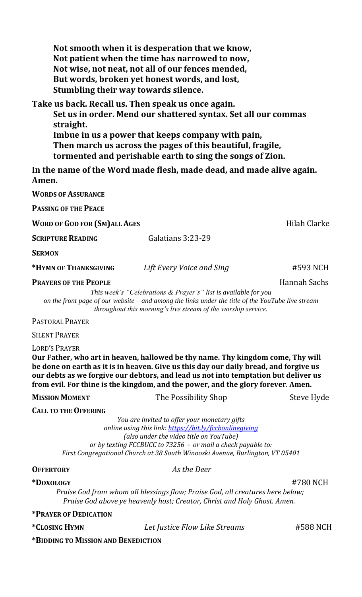**Not smooth when it is desperation that we know, Not patient when the time has narrowed to now, Not wise, not neat, not all of our fences mended, But words, broken yet honest words, and lost, Stumbling their way towards silence.**

**Take us back. Recall us. Then speak us once again. Set us in order. Mend our shattered syntax. Set all our commas straight. Imbue in us a power that keeps company with pain, Then march us across the pages of this beautiful, fragile,** 

**tormented and perishable earth to sing the songs of Zion.**

**In the name of the Word made flesh, made dead, and made alive again. Amen.**

**WORDS OF ASSURANCE** 

**PASSING OF THE PEACE**

**WORD OF GOD FOR (SM)ALL AGES Hilah Clarke** 

**SCRIPTURE READING Galatians 3:23-29** 

**SERMON** 

**\*HYMN OF THANKSGIVING** *Lift Every Voice and Sing* #593 NCH

### **PRAYERS OF THE PEOPLE** Hannah Sachs

*This week's "Celebrations & Prayer's" list is available for you on the front page of our website – and among the links under the title of the YouTube live stream throughout this morning's live stream of the worship service.*

PASTORAL PRAYER

SILENT PRAYER

LORD'S PRAYER

**Our Father, who art in heaven, hallowed be thy name. Thy kingdom come, Thy will be done on earth as it is in heaven. Give us this day our daily bread, and forgive us our debts as we forgive our debtors, and lead us not into temptation but deliver us from evil. For thine is the kingdom, and the power, and the glory forever. Amen.**

**MISSION MOMENT** The Possibility Shop Steve Hyde

**CALL TO THE OFFERING**

*You are invited to offer your monetary gifts online using this link:<https://bit.ly/fccbonlinegiving> (also under the video title on YouTube) or by texting FCCBUCC to 73256 - or mail a check payable to: First Congregational Church at 38 South Winooski Avenue, Burlington, VT 05401*

**OFFERTORY** *As the Deer*

**\*DOXOLOGY** #780 NCH *Praise God from whom all blessings flow; Praise God, all creatures here below; Praise God above ye heavenly host; Creator, Christ and Holy Ghost. Amen.*

**\*PRAYER OF DEDICATION**

**\*CLOSING HYMN** *Let Justice Flow Like Streams* #588 NCH

**\*BIDDING TO MISSION AND BENEDICTION**